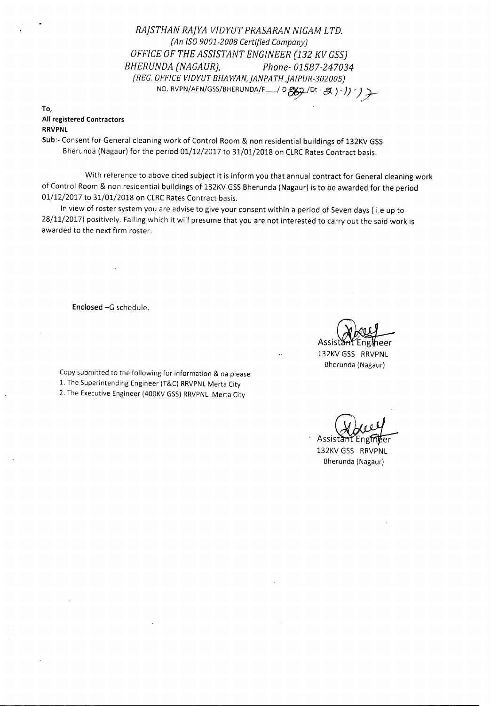*RAjSTHAN RAjYA VIDYUT PRASARAN NIGAM LTD. (An ISO9001-2008 Certified Company) OFFICE OF THE ASSISTANT ENGINEER* (132 *KV GSS) BHERUNDA (NAGAURJ Phone- 01587-247034 (REG.OFFICEVIDYUT BHAWAN,jANPATH ,jAIPUR-302005)* NO. RVPN/AEN/GSS/BHERUNDA/F....../ D&g/) bt - g ) . *J) ' )* 

## To, All registered Contractors RRVPNL

Sub:- Consent for General cleaning work of Control Room & non residential buildings of 132KV GSS Bherunda (Nagaur) for the period 01/12/2017 to 31/01/2018 on CLRC Rates Contract basis.

With reference to above cited subject it is inform you that annual contract for General cleaning work of Control Room & non residential buildings of 132KV GSS Bherunda (Nagaur) is to be awarded for the period 01/12/2017 to 31/01/2018 on CLRC Rates Contract basis.

In view of roster system you are advise to give your consent within a period of Seven days ( i.e up to 28/11/2017) positively. Failing which it will presume that you are not interested to carry out the said work is awarded to the next firm roster.

Enclosed -G schedule.

Copy submitted to the following for information & na please 1. The Superintending Engineer (T&C) RRVPNLMerta City 2. The Executive Engineer (400KV GSS) RRVPNL Merta City

Assist heer

132KV GSS RRVPNL Bherunda (Nagaur)

Assista

132KV GSS RRVPNL Bherunda (Nagaur)